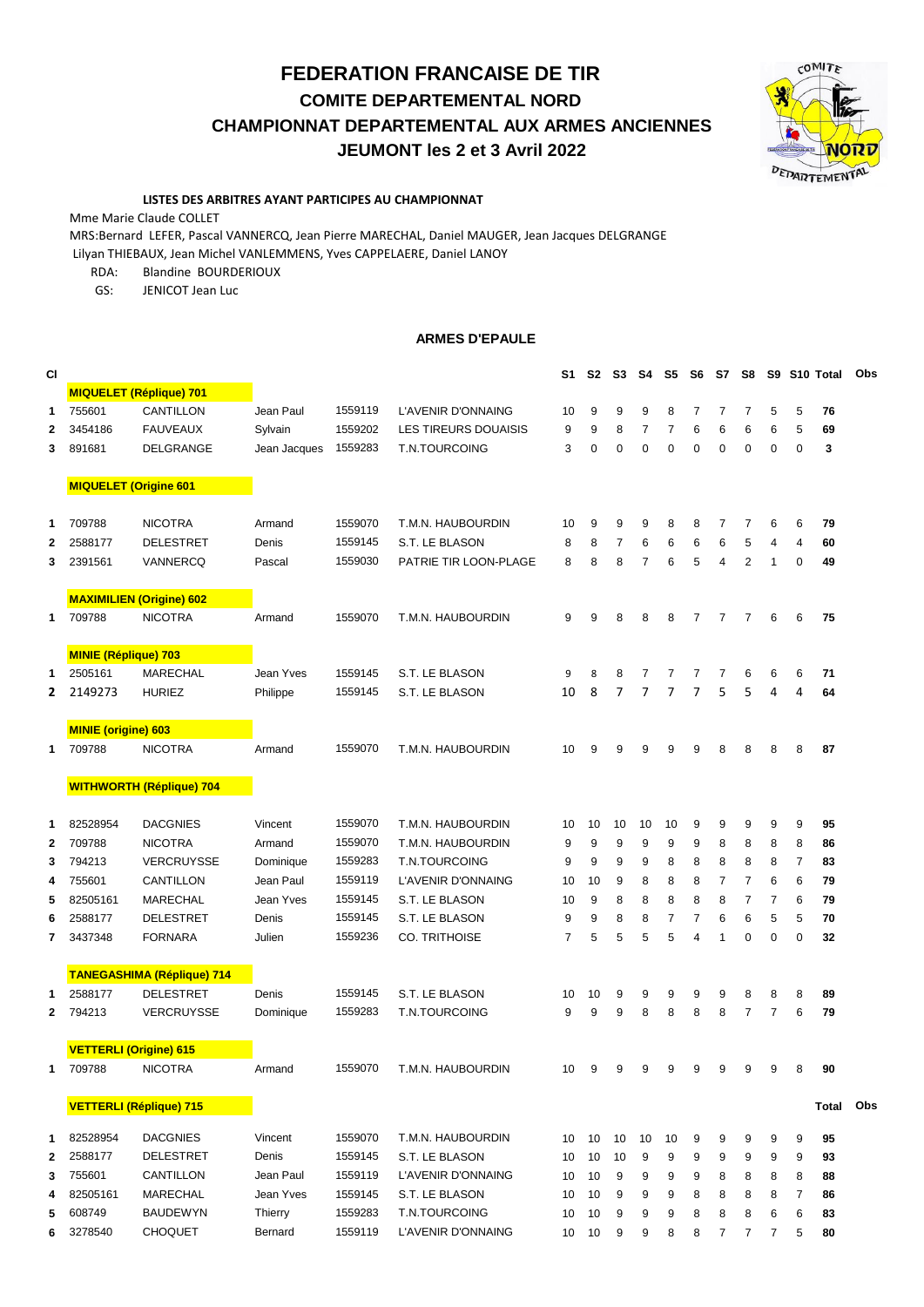**FEDERATION FRANCAISE DE TIR COMITE DEPARTEMENTAL NORD CHAMPIONNAT DEPARTEMENTAL AUX ARMES ANCIENNES JEUMONT les 2 et 3 Avril 2022**



## **LISTES DES ARBITRES AYANT PARTICIPES AU CHAMPIONNAT**

Mme Marie Claude COLLET

MRS:Bernard LEFER, Pascal VANNERCQ, Jean Pierre MARECHAL, Daniel MAUGER, Jean Jacques DELGRANGE Lilyan THIEBAUX, Jean Michel VANLEMMENS, Yves CAPPELAERE, Daniel LANOY

RDA: Blandine BOURDERIOUX

GS: JENICOT Jean Luc

## **ARMES D'EPAULE**

| <b>CI</b>    |                              |                                   |              |         |                             | S1 | S2          | S3 | S4             | S5             | S6             | S7             | S8             |                |                | S9 S10 Total | Obs |
|--------------|------------------------------|-----------------------------------|--------------|---------|-----------------------------|----|-------------|----|----------------|----------------|----------------|----------------|----------------|----------------|----------------|--------------|-----|
|              |                              | <b>MIQUELET (Réplique) 701</b>    |              |         |                             |    |             |    |                |                |                |                |                |                |                |              |     |
| 1            | 755601                       | CANTILLON                         | Jean Paul    | 1559119 | L'AVENIR D'ONNAING          | 10 | 9           | 9  | 9              | 8              | $\overline{7}$ | $\overline{7}$ | $\overline{7}$ | 5              | 5              | 76           |     |
| $\mathbf{2}$ | 3454186                      | <b>FAUVEAUX</b>                   | Sylvain      | 1559202 | <b>LES TIREURS DOUAISIS</b> | 9  | 9           | 8  | $\overline{7}$ | $\overline{7}$ | 6              | 6              | 6              | 6              | 5              | 69           |     |
| 3            | 891681                       | DELGRANGE                         | Jean Jacques | 1559283 | <b>T.N.TOURCOING</b>        | 3  | $\mathbf 0$ | 0  | $\mathbf 0$    | $\mathbf 0$    | 0              | 0              | $\mathbf 0$    | $\mathbf 0$    | $\mathbf 0$    | 3            |     |
|              | <b>MIQUELET (Origine 601</b> |                                   |              |         |                             |    |             |    |                |                |                |                |                |                |                |              |     |
| $\mathbf 1$  | 709788                       | <b>NICOTRA</b>                    | Armand       | 1559070 | T.M.N. HAUBOURDIN           | 10 | 9           | 9  | 9              | 8              | 8              | 7              | 7              | 6              | 6              | 79           |     |
| 2            | 2588177                      | <b>DELESTRET</b>                  | Denis        | 1559145 | S.T. LE BLASON              | 8  | 8           | 7  | 6              | 6              | 6              | 6              | 5              | 4              | 4              | 60           |     |
| 3            | 2391561                      | VANNERCQ                          | Pascal       | 1559030 | PATRIE TIR LOON-PLAGE       | 8  | 8           | 8  | $\overline{7}$ | 6              | 5              | 4              | $\overline{2}$ | 1              | $\mathbf 0$    | 49           |     |
|              |                              | <b>MAXIMILIEN (Origine) 602</b>   |              |         |                             |    |             |    |                |                |                |                |                |                |                |              |     |
| 1            | 709788                       | <b>NICOTRA</b>                    | Armand       | 1559070 | T.M.N. HAUBOURDIN           | 9  | 9           | 8  | 8              | 8              | $\overline{7}$ | $\overline{7}$ | $\overline{7}$ | 6              | 6              | 75           |     |
|              | <b>MINIE (Réplique) 703</b>  |                                   |              |         |                             |    |             |    |                |                |                |                |                |                |                |              |     |
| 1            | 2505161                      | <b>MARECHAL</b>                   | Jean Yves    | 1559145 | S.T. LE BLASON              | 9  | 8           | 8  | 7              | 7              | 7              | $\overline{7}$ | 6              | 6              | 6              | 71           |     |
| 2            | 2149273                      | <b>HURIEZ</b>                     | Philippe     | 1559145 | S.T. LE BLASON              | 10 | 8           | 7  | 7              | 7              | 7              | 5              | 5              | 4              | 4              | 64           |     |
|              | <b>MINIE (origine) 603</b>   |                                   |              |         |                             |    |             |    |                |                |                |                |                |                |                |              |     |
| 1            | 709788                       | <b>NICOTRA</b>                    | Armand       | 1559070 | T.M.N. HAUBOURDIN           | 10 | 9           | 9  | 9              | 9              | 9              | 8              | 8              | 8              | 8              | 87           |     |
|              |                              | <b>WITHWORTH (Réplique) 704</b>   |              |         |                             |    |             |    |                |                |                |                |                |                |                |              |     |
| 1            | 82528954                     | <b>DACGNIES</b>                   | Vincent      | 1559070 | T.M.N. HAUBOURDIN           | 10 | 10          | 10 | 10             | 10             | 9              | 9              | 9              | 9              | 9              | 95           |     |
| $\mathbf{2}$ | 709788                       | <b>NICOTRA</b>                    | Armand       | 1559070 | T.M.N. HAUBOURDIN           | 9  | 9           | 9  | 9              | 9              | 9              | 8              | 8              | 8              | 8              | 86           |     |
| 3            | 794213                       | <b>VERCRUYSSE</b>                 | Dominique    | 1559283 | T.N.TOURCOING               | 9  | 9           | 9  | 9              | 8              | 8              | 8              | 8              | 8              | $\overline{7}$ | 83           |     |
| 4            | 755601                       | CANTILLON                         | Jean Paul    | 1559119 | L'AVENIR D'ONNAING          | 10 | 10          | 9  | 8              | 8              | 8              | $\overline{7}$ | $\overline{7}$ | 6              | 6              | 79           |     |
| 5            | 82505161                     | <b>MARECHAL</b>                   | Jean Yves    | 1559145 | S.T. LE BLASON              | 10 | 9           | 8  | 8              | 8              | 8              | 8              | $\overline{7}$ | $\overline{7}$ | 6              | 79           |     |
| 6            | 2588177                      | <b>DELESTRET</b>                  | Denis        | 1559145 | S.T. LE BLASON              | 9  | 9           | 8  | 8              | $\overline{7}$ | $\overline{7}$ | 6              | 6              | 5              | 5              | 70           |     |
| 7            | 3437348                      | <b>FORNARA</b>                    | Julien       | 1559236 | <b>CO. TRITHOISE</b>        | 7  | 5           | 5  | 5              | 5              | 4              | 1              | 0              | $\mathbf 0$    | 0              | 32           |     |
|              |                              | <b>TANEGASHIMA (Réplique) 714</b> |              |         |                             |    |             |    |                |                |                |                |                |                |                |              |     |
| 1            | 2588177                      | <b>DELESTRET</b>                  | Denis        | 1559145 | S.T. LE BLASON              | 10 | 10          | 9  | 9              | 9              | 9              | 9              | 8              | 8              | 8              | 89           |     |
| 2            | 794213                       | <b>VERCRUYSSE</b>                 | Dominique    | 1559283 | T.N.TOURCOING               | 9  | 9           | 9  | 8              | 8              | 8              | 8              | $\overline{7}$ | $\overline{7}$ | 6              | 79           |     |
|              |                              | <b>VETTERLI (Origine) 615</b>     |              |         |                             |    |             |    |                |                |                |                |                |                |                |              |     |
| 1            | 709788                       | <b>NICOTRA</b>                    | Armand       | 1559070 | T.M.N. HAUBOURDIN           | 10 | 9           | 9  | 9              | 9              | 9              | 9              | 9              | 9              | 8              | 90           |     |
|              |                              | <b>VETTERLI (Réplique) 715</b>    |              |         |                             |    |             |    |                |                |                |                |                |                |                | Total        | Obs |
| 1            | 82528954                     | <b>DACGNIES</b>                   | Vincent      | 1559070 | T.M.N. HAUBOURDIN           | 10 | 10          | 10 | 10             | 10             | 9              | 9              | 9              | 9              | 9              | 95           |     |
| 2            | 2588177                      | <b>DELESTRET</b>                  | Denis        | 1559145 | S.T. LE BLASON              | 10 | 10          | 10 | 9              | 9              | 9              | 9              | 9              | 9              | 9              | 93           |     |
| 3            | 755601                       | CANTILLON                         | Jean Paul    | 1559119 | L'AVENIR D'ONNAING          | 10 | 10          | 9  | 9              | 9              | 9              | 8              | 8              | 8              | 8              | 88           |     |
| 4            | 82505161                     | MARECHAL                          | Jean Yves    | 1559145 | S.T. LE BLASON              | 10 | 10          | 9  | 9              | 9              | 8              | 8              | 8              | 8              | 7              | 86           |     |
| 5            | 608749                       | <b>BAUDEWYN</b>                   | Thierry      | 1559283 | T.N.TOURCOING               | 10 | 10          | 9  | 9              | 9              | 8              | 8              | 8              | 6              | 6              | 83           |     |
| 6            | 3278540                      | <b>CHOQUET</b>                    | Bernard      | 1559119 | L'AVENIR D'ONNAING          | 10 | 10          | 9  | 9              | 8              | 8              | 7              | 7              | 7              | 5              | 80           |     |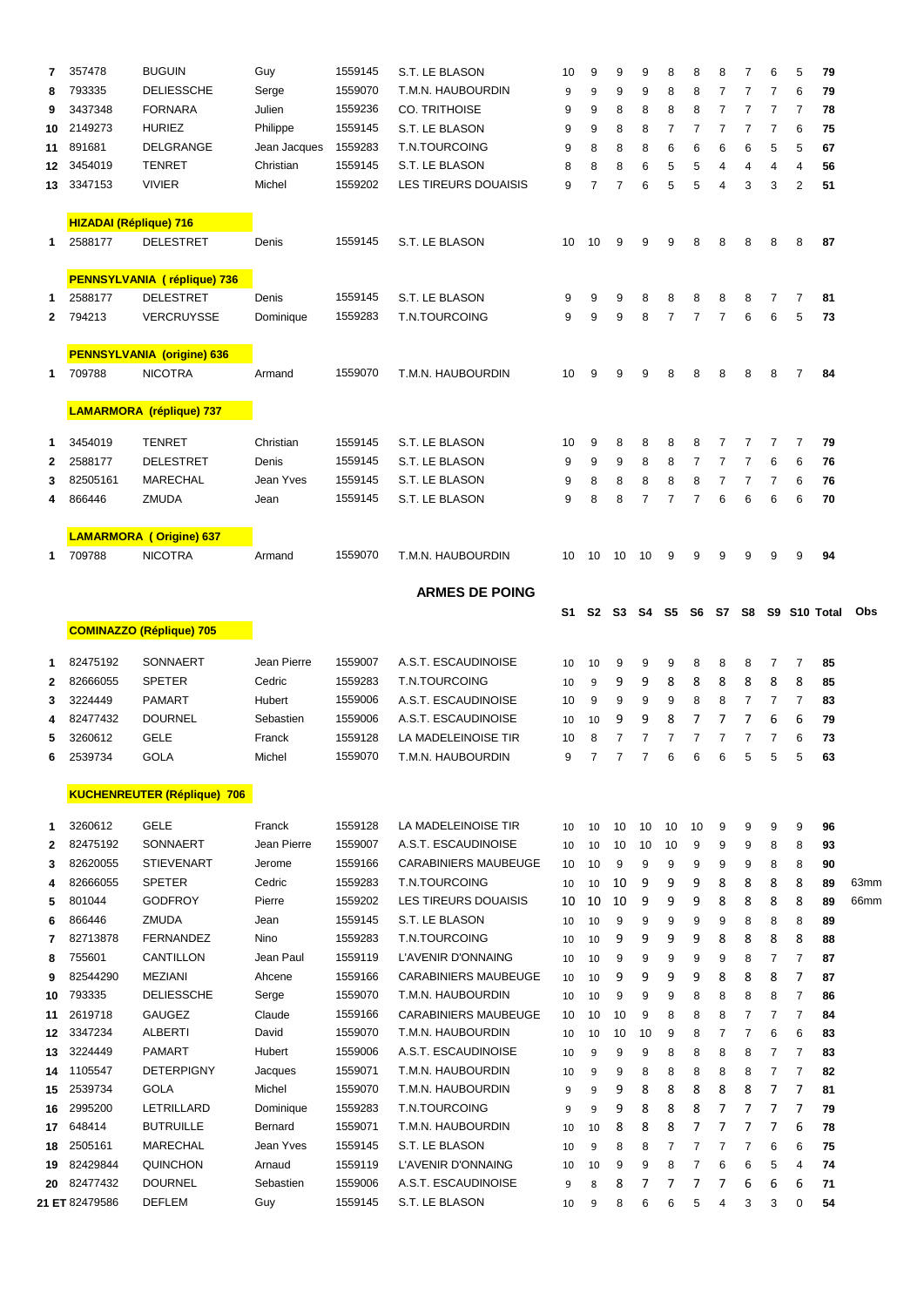| 7        | 357478                        | <b>BUGUIN</b>                       | Guy             | 1559145            | S.T. LE BLASON                                   | 10       | 9              | 9                             | 9                                  | 8              | 8              | 8                   | $\overline{7}$ | 6                   | 5                   | 79           |      |
|----------|-------------------------------|-------------------------------------|-----------------|--------------------|--------------------------------------------------|----------|----------------|-------------------------------|------------------------------------|----------------|----------------|---------------------|----------------|---------------------|---------------------|--------------|------|
| 8        | 793335                        | <b>DELIESSCHE</b>                   | Serge           | 1559070            | T.M.N. HAUBOURDIN                                | 9        | 9              | 9                             | 9                                  | 8              | 8              | 7                   | $\overline{7}$ | $\overline{7}$      | 6                   | 79           |      |
| 9        | 3437348                       | <b>FORNARA</b>                      | Julien          | 1559236            | <b>CO. TRITHOISE</b>                             |          | 9              | 8                             | 8                                  | 8              | 8              | 7                   | 7              | $\overline{7}$      | $\overline{7}$      | 78           |      |
| 10       | 2149273                       | <b>HURIEZ</b>                       | Philippe        | 1559145            | S.T. LE BLASON                                   | 9        | 9              | 8                             | 8                                  | 7              | 7              | $\overline{7}$      | $\overline{7}$ | $\overline{7}$      | 6                   | 75           |      |
| 11       | 891681                        | DELGRANGE                           | Jean Jacques    | 1559283            | T.N.TOURCOING                                    | 9        | 8              | 8                             | 8                                  | 6              | 6              | 6                   | 6              | 5                   | 5                   | 67           |      |
| 12       | 3454019                       | <b>TENRET</b>                       | Christian       | 1559145            | S.T. LE BLASON                                   | 8        | 8              | 8                             | 5<br>6<br>5<br>$\overline{4}$<br>4 |                |                | 4                   | 4              | 56                  |                     |              |      |
| 13       | 3347153                       | <b>VIVIER</b>                       | Michel          | 1559202            | LES TIREURS DOUAISIS                             | 9        | $\overline{7}$ | $\overline{7}$                | 6                                  | 5              | 5              | 4                   | 3              | 3                   | $\overline{2}$      | 51           |      |
|          | <b>HIZADAI (Réplique) 716</b> |                                     |                 |                    |                                                  |          |                |                               |                                    |                |                |                     |                |                     |                     |              |      |
| 1.       | 2588177                       | <b>DELESTRET</b>                    | Denis           | 1559145            | S.T. LE BLASON                                   | 10       | 10             | 9                             | 9                                  | 9              | 8              | 8                   | 8              | 8                   | 8                   | 87           |      |
|          |                               | PENNSYLVANIA (réplique) 736         |                 |                    |                                                  |          |                |                               |                                    |                |                |                     |                |                     |                     |              |      |
| 1        | 2588177                       | <b>DELESTRET</b>                    | Denis           | 1559145            | S.T. LE BLASON                                   | 9        | 9              | 9                             | 8                                  | 8              | 8              | 8                   | 8              | 7                   | 7                   | 81           |      |
| 2        | 794213                        | VERCRUYSSE                          | Dominique       | 1559283            | T.N.TOURCOING                                    | 9        | 9              | 9                             | 8                                  | $\overline{7}$ | $\overline{7}$ | $\overline{7}$      | 6              | 6                   | 5                   | 73           |      |
|          |                               | <b>PENNSYLVANIA (origine) 636</b>   |                 |                    |                                                  |          |                |                               |                                    |                |                |                     |                |                     |                     |              |      |
| 1.       | 709788                        | <b>NICOTRA</b>                      | Armand          | 1559070            | T.M.N. HAUBOURDIN                                | 10       | 9              | 9                             | 9                                  | 8              | 8              | 8                   | 8              | 8                   | $\overline{7}$      | 84           |      |
|          |                               | <b>LAMARMORA</b> (réplique) 737     |                 |                    |                                                  |          |                |                               |                                    |                |                |                     |                |                     |                     |              |      |
| 1        | 3454019                       | <b>TENRET</b>                       | Christian       | 1559145            | S.T. LE BLASON                                   | 10       | 9              | 8                             | 8                                  | 8              | 8              | 7                   | 7              | $\overline{7}$      | $\overline{7}$      | 79           |      |
| 2        | 2588177                       | <b>DELESTRET</b>                    | Denis           | 1559145            | S.T. LE BLASON                                   | 9        | 9              | 9                             | 8                                  | 8              | 7              | 7                   | 7              | 6                   | 6                   | 76           |      |
| 3        | 82505161                      | MARECHAL                            | Jean Yves       | 1559145            | S.T. LE BLASON                                   | 9        | 8              | 8                             | 8                                  | 8              | 8              | $\overline{7}$      | $\overline{7}$ | $\overline{7}$      | 6                   | 76           |      |
| 4        | 866446                        | <b>ZMUDA</b>                        | Jean            | 1559145            | S.T. LE BLASON                                   | 9        | 8              | 8                             | 7                                  | $\overline{7}$ | $\overline{7}$ | 6                   | 6              | 6                   | 6                   | 70           |      |
|          |                               | <b>LAMARMORA (Origine) 637</b>      |                 |                    |                                                  |          |                |                               |                                    |                |                |                     |                |                     |                     |              |      |
| 1.       | 709788                        | <b>NICOTRA</b>                      | Armand          | 1559070            | T.M.N. HAUBOURDIN                                | 10       | 10             | 10                            | 10                                 | 9              | 9              | 9                   | 9              | 9                   | 9                   | 94           |      |
|          |                               |                                     |                 |                    | <b>ARMES DE POING</b>                            |          |                |                               |                                    |                |                |                     |                |                     |                     |              |      |
|          |                               | <b>COMINAZZO (Réplique) 705</b>     |                 |                    |                                                  | S1       |                | S <sub>2</sub> S <sub>3</sub> | -S4                                | - S5           |                | S6 S7 S8            |                |                     |                     | S9 S10 Total | Obs  |
| 1        | 82475192                      | SONNAERT                            | Jean Pierre     | 1559007            | A.S.T. ESCAUDINOISE                              | 10       | 10             | 9                             | 9                                  | 9              | 8              | 8                   | 8              | 7                   | 7                   | 85           |      |
| 2        | 82666055                      | <b>SPETER</b>                       | Cedric          | 1559283            | T.N.TOURCOING                                    | 10       | 9              | 9                             | 9                                  | 8              | 8              | 8                   | 8              | 8                   | 8                   | 85           |      |
| 3        | 3224449                       | <b>PAMART</b>                       | Hubert          | 1559006            | A.S.T. ESCAUDINOISE                              |          | 9              | 9                             | 9                                  | 9              | 8              | 8                   | $\overline{7}$ | 7                   | 7                   | 83           |      |
| 4        | 82477432                      | <b>DOURNEL</b>                      | Sebastien       | 1559006            | A.S.T. ESCAUDINOISE                              | 10       | 10             | 9                             | 9                                  | 8              | 7              | 7                   | 7              | 6                   | 6                   | 79           |      |
| 5        | 3260612                       | GELE                                | Franck          | 1559128            | LA MADELEINOISE TIR                              | 10       | 8              | 7                             | 7                                  | $\overline{7}$ | $\overline{7}$ | $\overline{7}$      | $\overline{7}$ | $\overline{7}$      | 6                   | 73           |      |
| 6        | 2539734                       | GOLA                                | Michel          | 1559070            | T.M.N. HAUBOURDIN                                | 9        | 7              | 7                             | 7                                  | 6              | 6              | 6                   | 5              | 5                   | 5                   | 63           |      |
|          |                               | <b>KUCHENREUTER (Réplique) 706</b>  |                 |                    |                                                  |          |                |                               |                                    |                |                |                     |                |                     |                     |              |      |
| 1        | 3260612                       | <b>GELE</b>                         | Franck          | 1559128            | LA MADELEINOISE TIR                              | 10       | 10             | 10                            | 10                                 | 10             | 10             | 9                   | 9              | 9                   | 9                   | 96           |      |
| 2        | 82475192                      | SONNAERT                            | Jean Pierre     | 1559007            | A.S.T. ESCAUDINOISE                              | 10       | 10             | 10                            | 10                                 | 10             | 9              | 9                   | 9              | 8                   | 8                   | 93           |      |
| 3        | 82620055                      | <b>STIEVENART</b>                   | Jerome          | 1559166            | <b>CARABINIERS MAUBEUGE</b>                      | 10       | 10             | 9                             | 9                                  | 9              | 9              | 9                   | 9              | 8                   | 8                   | 90           |      |
| 4        | 82666055                      | <b>SPETER</b>                       | Cedric          | 1559283            | T.N.TOURCOING                                    | 10       | 10             | 10                            | 9                                  | 9              | 9              | 8                   | 8              | 8                   | 8                   | 89           | 63mm |
| 5        | 801044                        | <b>GODFROY</b>                      | Pierre          | 1559202            | LES TIREURS DOUAISIS                             | 10       | 10             | 10                            | 9                                  | 9              | 9              | 8                   | 8              | 8                   | 8                   | 89           | 66mm |
| 6        | 866446                        | <b>ZMUDA</b>                        | Jean            | 1559145            | S.T. LE BLASON                                   | 10       | 10             | 9                             | 9                                  | 9              | 9              | 9                   | 8              | 8                   | 8                   | 89           |      |
| 7        | 82713878                      | <b>FERNANDEZ</b>                    | Nino            | 1559283            | T.N.TOURCOING                                    | 10       | 10             | 9                             | 9                                  | 9              | 9              | 8                   | 8              | 8                   | 8                   | 88           |      |
| 8        | 755601                        | CANTILLON                           | Jean Paul       | 1559119            | L'AVENIR D'ONNAING                               | 10       | 10             | 9                             | 9                                  | 9              | 9              | 9                   | 8              | $\overline{7}$      | 7                   | 87           |      |
| 9        | 82544290<br>793335            | <b>MEZIANI</b><br><b>DELIESSCHE</b> | Ahcene          | 1559166<br>1559070 | <b>CARABINIERS MAUBEUGE</b><br>T.M.N. HAUBOURDIN | 10       | 10             | 9                             | 9                                  | 9              | 9              | 8                   | 8<br>8         | 8<br>8              | 7                   | 87           |      |
| 10       |                               |                                     | Serge           | 1559166            |                                                  | 10       | 10             | 9                             | 9                                  | 9              | 8              | 8                   |                |                     | 7                   | 86           |      |
| 11<br>12 | 2619718<br>3347234            | <b>GAUGEZ</b><br><b>ALBERTI</b>     | Claude<br>David | 1559070            | <b>CARABINIERS MAUBEUGE</b><br>T.M.N. HAUBOURDIN | 10<br>10 | 10<br>10       | 10<br>10                      | 9<br>10                            | 8<br>9         | 8<br>8         | 8<br>$\overline{7}$ | 7<br>7         | $\overline{7}$<br>6 | $\overline{7}$<br>6 | 84<br>83     |      |
| 13       | 3224449                       | <b>PAMART</b>                       | Hubert          | 1559006            | A.S.T. ESCAUDINOISE                              | 10       | 9              | 9                             | 9                                  | 8              | 8              | 8                   | 8              | $\overline{7}$      | 7                   | 83           |      |
| 14       | 1105547                       | <b>DETERPIGNY</b>                   | Jacques         | 1559071            | T.M.N. HAUBOURDIN                                | 10       | 9              | 9                             | 8                                  | 8              | 8              | 8                   | 8              | $\overline{7}$      | $\overline{7}$      | 82           |      |
| 15       | 2539734                       | <b>GOLA</b>                         | Michel          | 1559070            | T.M.N. HAUBOURDIN                                | 9        | 9              | 9                             | 8                                  | 8              | 8              | 8                   | 8              | $\overline{7}$      | 7                   | 81           |      |
| 16       | 2995200                       | LETRILLARD                          | Dominique       | 1559283            | T.N.TOURCOING                                    | 9        | 9              | 9                             | 8                                  | 8              | 8              | 7                   | 7              | 7                   | 7                   | 79           |      |
| 17       | 648414                        | <b>BUTRUILLE</b>                    | Bernard         | 1559071            | T.M.N. HAUBOURDIN                                | 10       | 10             | 8                             | 8                                  | 8              | 7              | 7                   | 7              | 7                   | 6                   | 78           |      |
| 18       | 2505161                       | <b>MARECHAL</b>                     | Jean Yves       | 1559145            | S.T. LE BLASON                                   | 10       | 9              | 8                             | 8                                  | $\overline{7}$ | $\overline{7}$ | $\overline{7}$      | 7              | 6                   | 6                   | 75           |      |
| 19       | 82429844                      | QUINCHON                            | Arnaud          | 1559119            | L'AVENIR D'ONNAING                               | 10       | 10             | 9                             | 9                                  | 8              | $\overline{7}$ | 6                   | 6              | 5                   | 4                   | 74           |      |
| 20       | 82477432                      | <b>DOURNEL</b>                      | Sebastien       | 1559006            | A.S.T. ESCAUDINOISE                              | 9        | 8              | 8                             | 7                                  | 7              | 7              | 7                   | 6              | 6                   | 6                   | 71           |      |
|          | 21 ET 82479586                | <b>DEFLEM</b>                       | Guy             | 1559145            | S.T. LE BLASON                                   | 10       | 9              | 8                             | 6                                  | 6              | 5              | 4                   | 3              | 3                   | 0                   | 54           |      |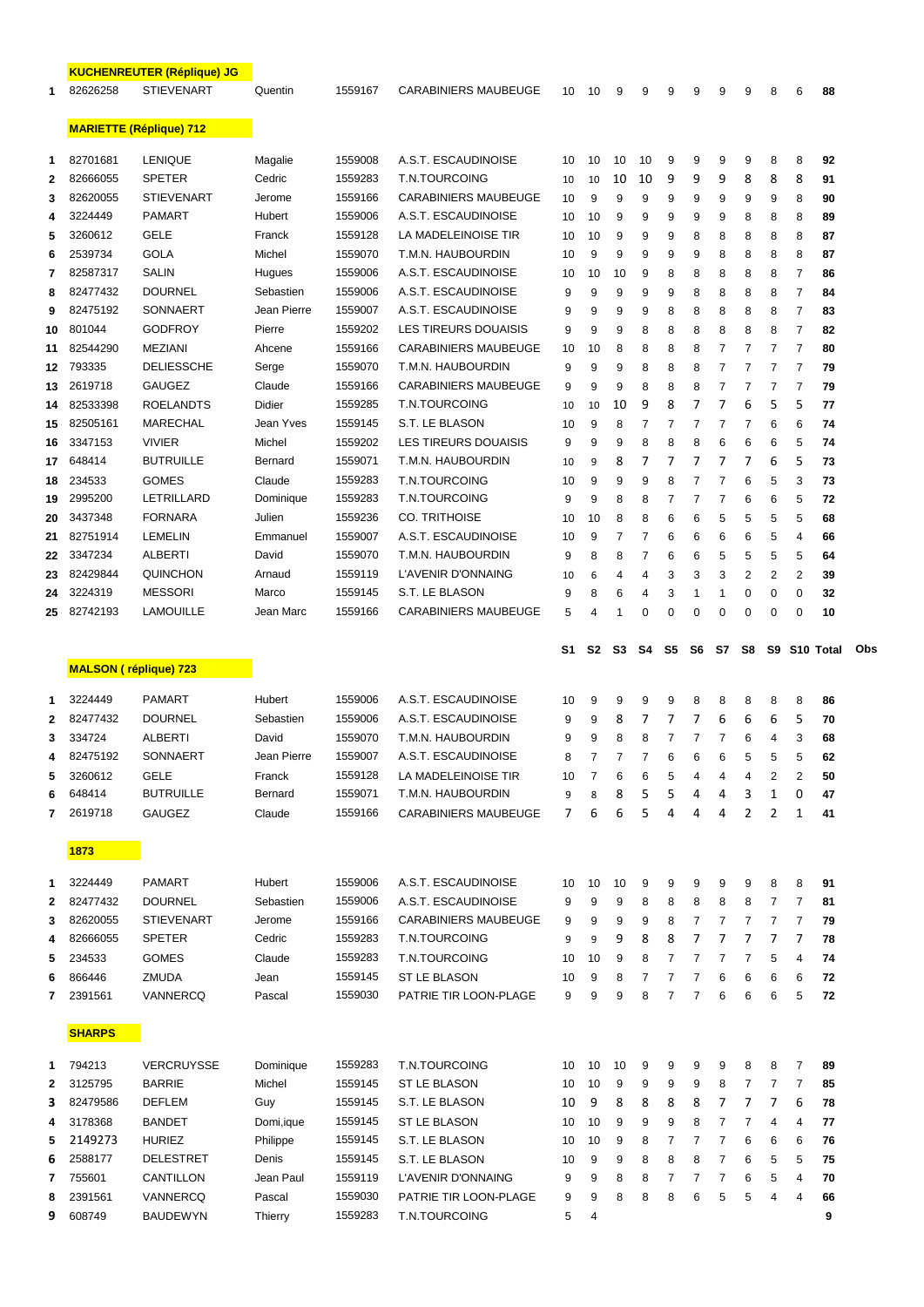|                                    |                      | <b>KUCHENREUTER (Réplique) JG</b>   |                     |                             |                                                     |          |                |                |                |        |                |                     |                     |        |                |          |     |
|------------------------------------|----------------------|-------------------------------------|---------------------|-----------------------------|-----------------------------------------------------|----------|----------------|----------------|----------------|--------|----------------|---------------------|---------------------|--------|----------------|----------|-----|
| <b>STIEVENART</b><br>82626258<br>1 |                      | Quentin                             | 1559167             | <b>CARABINIERS MAUBEUGE</b> | 10                                                  | 10       | 9              | 9              | 9              | 9      | 9              | 9                   | 8                   | 6      | 88             |          |     |
|                                    |                      | <b>MARIETTE (Réplique) 712</b>      |                     |                             |                                                     |          |                |                |                |        |                |                     |                     |        |                |          |     |
|                                    | 82701681             | <b>LENIQUE</b>                      |                     |                             | A.S.T. ESCAUDINOISE                                 |          |                |                |                |        |                |                     |                     |        |                |          |     |
| 1                                  | 82666055             | <b>SPETER</b>                       | Magalie<br>Cedric   | 1559008<br>1559283          | <b>T.N.TOURCOING</b>                                | 10       | 10             | 10             | 10             | 9      | 9              | 9<br>9              | 9<br>8              | 8<br>8 | 8<br>8         | 92       |     |
| 2                                  | 82620055             | <b>STIEVENART</b>                   | Jerome              | 1559166                     |                                                     | 10<br>10 | 10             | 10             | 10             | 9      | 9              |                     |                     |        |                | 91       |     |
| 3                                  | 3224449              | <b>PAMART</b>                       | Hubert              | 1559006                     | <b>CARABINIERS MAUBEUGE</b>                         |          | 9              | 9              | 9              | 9      | 9<br>9         | 9<br>9              | 9                   | 9      | 8              | 90       |     |
| 4<br>5                             | 3260612              | GELE                                | Franck              | 1559128                     | A.S.T. ESCAUDINOISE<br>10<br>LA MADELEINOISE TIR    |          | 10<br>10       | 9              | 9              | 9      |                |                     | 8                   | 8      | 8              | 89       |     |
|                                    | 2539734              | <b>GOLA</b>                         | Michel              | 1559070                     | T.M.N. HAUBOURDIN                                   | 10       |                | 9              | 9              | 9      | 8              | 8                   | 8                   | 8      | 8              | 87       |     |
| 6                                  | 82587317             |                                     |                     |                             |                                                     | 10       | 9              | 9              | 9              | 9      | 9              | 8                   | 8                   | 8      | 8              | 87       |     |
| 7                                  |                      | SALIN                               | Hugues              | 1559006                     | A.S.T. ESCAUDINOISE                                 | 10       | 10             | 10             | 9              | 8      | 8              | 8                   | 8                   | 8      | 7              | 86       |     |
| 8                                  | 82477432<br>82475192 | <b>DOURNEL</b><br>SONNAERT          | Sebastien           | 1559006<br>1559007          | A.S.T. ESCAUDINOISE<br>A.S.T. ESCAUDINOISE          | 9        | 9              | 9              | 9              | 9      | 8              | 8                   | 8                   | 8      | 7              | 84       |     |
| 9                                  |                      |                                     | Jean Pierre         |                             |                                                     | 9        | 9              | 9              | 9              | 8      | 8              | 8                   | 8                   | 8      | 7              | 83       |     |
| 10                                 | 801044               | GODFROY                             | Pierre              | 1559202                     | LES TIREURS DOUAISIS                                | 9        | 9              | 9              | 8              | 8      | 8              | 8                   | 8                   | 8      | 7              | 82       |     |
| 11                                 | 82544290<br>793335   | <b>MEZIANI</b><br><b>DELIESSCHE</b> | Ahcene              | 1559166                     | <b>CARABINIERS MAUBEUGE</b><br>T.M.N. HAUBOURDIN    | 10       | 10             | 8              | 8              | 8      | 8              | $\overline{7}$      | $\overline{7}$      | 7      | $\overline{7}$ | 80       |     |
| 12                                 |                      |                                     | Serge               | 1559070                     |                                                     | 9        | 9              | 9              | 8              | 8      | 8              | $\overline{7}$      | $\overline{7}$      | 7      | 7              | 79       |     |
| 13                                 | 2619718              | GAUGEZ                              | Claude              | 1559166                     | <b>CARABINIERS MAUBEUGE</b><br><b>T.N.TOURCOING</b> | 9        | 9              | 9              | 8              | 8<br>8 | 8<br>7         | $\overline{7}$<br>7 | $\overline{7}$<br>6 | 7<br>5 | 7<br>5         | 79       |     |
| 14                                 | 82533398<br>82505161 | <b>ROELANDTS</b><br><b>MARECHAL</b> | Didier<br>Jean Yves | 1559285<br>1559145          | S.T. LE BLASON                                      | 10       | 10             | 10             | 9              |        | 7              | 7                   | $\overline{7}$      |        |                | 77<br>74 |     |
| 15                                 | 3347153              | <b>VIVIER</b>                       | Michel              | 1559202                     | <b>LES TIREURS DOUAISIS</b>                         | 10       | 9<br>9         | 8<br>9         | 7<br>8         | 7<br>8 | 8              | 6                   | 6                   | 6<br>6 | 6<br>5         | 74       |     |
| 16                                 | 648414               | <b>BUTRUILLE</b>                    | Bernard             | 1559071                     | T.M.N. HAUBOURDIN                                   | 9        |                | 8              | 7              | 7      | 7              | 7                   | 7                   | 6      | 5              | 73       |     |
| 17                                 | 234533               |                                     |                     | 1559283                     |                                                     | 10       | 9              |                |                |        | 7              | 7                   |                     |        |                |          |     |
| 18                                 | 2995200              | <b>GOMES</b><br><b>LETRILLARD</b>   | Claude<br>Dominique | 1559283                     | T.N.TOURCOING<br>T.N.TOURCOING                      | 10       | 9              | 9              | 9              | 8      | 7              | $\overline{7}$      | 6                   | 5      | 3              | 73<br>72 |     |
| 19                                 | 3437348              | <b>FORNARA</b>                      | Julien              | 1559236                     | <b>CO. TRITHOISE</b>                                | 9        | 9              | 8<br>8         | 8<br>8         | 7<br>6 | 6              | 5                   | 6<br>5              | 6<br>5 | 5<br>5         | 68       |     |
| 20                                 | 82751914             | <b>LEMELIN</b>                      | Emmanuel            | 1559007                     | A.S.T. ESCAUDINOISE                                 | 10       | 10             | 7              |                |        |                |                     |                     |        |                |          |     |
| 21                                 | 3347234              | <b>ALBERTI</b>                      | David               | 1559070                     | T.M.N. HAUBOURDIN                                   | 10       | 9<br>8         | 8              | 7<br>7         | 6      | 6              | 6<br>5              | 6<br>5              | 5<br>5 | 4<br>5         | 66       |     |
| 22<br>23                           | 82429844             | QUINCHON                            | Arnaud              | 1559119                     | L'AVENIR D'ONNAING                                  | 9        |                | 4              | 4              | 6<br>3 | 6<br>3         | 3                   | 2                   | 2      | 2              | 64<br>39 |     |
| 24                                 | 3224319              | MESSORI                             | Marco               | 1559145                     | S.T. LE BLASON                                      | 10<br>9  | 6<br>8         | 6              | 4              | 3      | 1              | 1                   | 0                   | 0      | 0              | 32       |     |
| 25                                 | 82742193             | LAMOUILLE                           | Jean Marc           | 1559166                     | <b>CARABINIERS MAUBEUGE</b>                         | 5        | 4              | 1              | 0              | 0      | 0              | 0                   | 0                   | 0      | 0              | 10       |     |
|                                    |                      |                                     |                     |                             |                                                     |          |                |                |                |        |                |                     |                     |        |                |          |     |
|                                    |                      | <b>MALSON (réplique) 723</b>        |                     |                             |                                                     | S1       | S2             | S3             | S4             | S5     | S6             | S7                  | S8                  |        | S9 S10 Total   |          | Obs |
|                                    |                      |                                     |                     |                             |                                                     |          |                |                |                |        |                |                     |                     |        |                |          |     |
| 1                                  | 3224449              |                                     |                     |                             |                                                     | 10       | 9              | 9              |                |        |                |                     |                     |        |                | 86       |     |
|                                    |                      | <b>PAMART</b>                       | Hubert              | 1559006                     | A.S.T. ESCAUDINOISE                                 |          |                |                | 9              | 9      | 8              | 8                   | 8                   | 8      | 8              |          |     |
| 2                                  | 82477432             | <b>DOURNEL</b>                      | Sebastien           | 1559006                     | A.S.T. ESCAUDINOISE                                 | 9        | 9              | 8              | 7              | 7      | 7              | 6                   | 6                   | 6      | 5              | 70       |     |
| 3                                  | 334724               | <b>ALBERTI</b>                      | David               | 1559070                     | T.M.N. HAUBOURDIN                                   | 9        | 9              | 8              | 8              | 7      | $\overline{7}$ | $\overline{7}$      | 6                   | 4      | 3              | 68       |     |
| 4                                  | 82475192             | SONNAERT                            | Jean Pierre         | 1559007                     | A.S.T. ESCAUDINOISE                                 | 8        | 7              | $\overline{ }$ | $\overline{ }$ | ĥ      | 6              | 6                   | 5                   | 5      | 5              | 62       |     |
| 5                                  | 3260612              | GELE                                | Franck              | 1559128                     | LA MADELEINOISE TIR                                 | 10       | $\overline{7}$ | 6              | 6              | 5      | 4              | 4                   | 4                   | 2      | 2              | 50       |     |
| 6                                  | 648414               | <b>BUTRUILLE</b>                    | Bernard             | 1559071                     | T.M.N. HAUBOURDIN                                   | 9        | 8              | 8              | 5              | 5      | 4              | 4                   | 3                   | 1      | 0              | 47       |     |
| 7                                  | 2619718              | GAUGEZ                              | Claude              | 1559166                     | <b>CARABINIERS MAUBEUGE</b>                         | 7        | 6              | 6              | 5              | 4      | 4              | 4                   | $\overline{2}$      | 2      | $\mathbf{1}$   | 41       |     |
|                                    | 1873                 |                                     |                     |                             |                                                     |          |                |                |                |        |                |                     |                     |        |                |          |     |
| 1                                  | 3224449              | <b>PAMART</b>                       | Hubert              | 1559006                     | A.S.T. ESCAUDINOISE                                 | 10       | 10             | 10             | 9              | 9      | 9              | 9                   | 9                   | 8      | 8              | 91       |     |
| 2                                  | 82477432             | <b>DOURNEL</b>                      | Sebastien           | 1559006                     | A.S.T. ESCAUDINOISE                                 | 9        | 9              | 9              | 8              | 8      | 8              | 8                   | 8                   | 7      | 7              | 81       |     |
| 3                                  | 82620055             | <b>STIEVENART</b>                   | Jerome              | 1559166                     | <b>CARABINIERS MAUBEUGE</b>                         | 9        | 9              | 9              | 9              | 8      | 7              | 7                   | $\overline{7}$      | 7      | 7              | 79       |     |
| 4                                  | 82666055             | <b>SPETER</b>                       | Cedric              | 1559283                     | T.N.TOURCOING                                       | 9        | 9              | 9              | 8              | 8      | 7              | 7                   | 7                   | 7      | 7              | 78       |     |
| 5                                  | 234533               | <b>GOMES</b>                        | Claude              | 1559283                     | T.N.TOURCOING                                       | 10       | 10             | 9              | 8              | 7      | 7              | 7                   | 7                   | 5      | 4              | 74       |     |
| 6                                  | 866446               | ZMUDA                               | Jean                | 1559145                     | ST LE BLASON                                        | 10       | 9              | 8              | 7              | 7      | 7              | 6                   | 6                   | 6      | 6              | 72       |     |
| 7                                  | 2391561              | VANNERCQ                            | Pascal              | 1559030                     | PATRIE TIR LOON-PLAGE                               | 9        | 9              | 9              | 8              | 7      | $\overline{7}$ | 6                   | 6                   | 6      | 5              | 72       |     |
|                                    | <b>SHARPS</b>        |                                     |                     |                             |                                                     |          |                |                |                |        |                |                     |                     |        |                |          |     |
| 1                                  | 794213               | <b>VERCRUYSSE</b>                   | Dominique           | 1559283                     |                                                     | 10       | 10             | 10             | 9              | 9      | 9              | 9                   | 8                   | 8      | 7              | 89       |     |
| 2                                  | 3125795              | <b>BARRIE</b>                       | Michel              | 1559145                     | T.N.TOURCOING<br>ST LE BLASON                       | 10       | 10             | 9              | 9              | 9      | 9              | 8                   | $\overline{7}$      | 7      | $\overline{7}$ | 85       |     |
| 3                                  | 82479586             | DEFLEM                              | Guy                 | 1559145                     | S.T. LE BLASON                                      | 10       | 9              | 8              | 8              | 8      | 8              | 7                   | 7                   | 7      | 6              | 78       |     |
| 4                                  | 3178368              | <b>BANDET</b>                       | Domi, ique          | 1559145                     | ST LE BLASON                                        | 10       | 10             | 9              | 9              | 9      | 8              | $\overline{7}$      | $\overline{7}$      | 4      | $\overline{4}$ | 77       |     |
| 5                                  | 2149273              | <b>HURIEZ</b>                       | Philippe            | 1559145                     | S.T. LE BLASON                                      | 10       | 10             | 9              | 8              | 7      | 7              | $\overline{7}$      | 6                   | 6      | 6              | 76       |     |
| 6                                  | 2588177              | DELESTRET                           | Denis               | 1559145                     | S.T. LE BLASON                                      | 10       | 9              | 9              | 8              | 8      | 8              | $\overline{7}$      | 6                   | 5      | 5              | 75       |     |
| 7                                  | 755601               | CANTILLON                           | Jean Paul           | 1559119                     | L'AVENIR D'ONNAING                                  | 9        | 9              | 8              | 8              | 7      | $\overline{7}$ | $\overline{7}$      | 6                   | 5      | $\overline{4}$ | 70       |     |
| 8                                  | 2391561              | VANNERCQ                            | Pascal              | 1559030                     | PATRIE TIR LOON-PLAGE                               | 9        | 9              | 8              | 8              | 8      | 6              | 5                   | 5                   | 4      | 4              | 66       |     |
| 9                                  | 608749               | BAUDEWYN                            | Thierry             | 1559283                     | T.N.TOURCOING                                       | 5        | 4              |                |                |        |                |                     |                     |        |                | 9        |     |